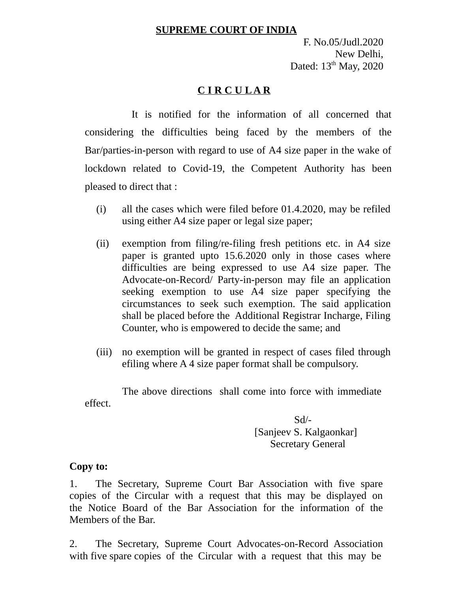## **SUPREME COURT OF INDIA**

F. No.05/Judl.2020 New Delhi, Dated:  $13<sup>th</sup>$  May, 2020

## **C I R C U L A R**

 It is notified for the information of all concerned that considering the difficulties being faced by the members of the Bar/parties-in-person with regard to use of A4 size paper in the wake of lockdown related to Covid-19, the Competent Authority has been pleased to direct that :

- (i) all the cases which were filed before 01.4.2020, may be refiled using either A4 size paper or legal size paper;
- (ii) exemption from filing/re-filing fresh petitions etc. in A4 size paper is granted upto 15.6.2020 only in those cases where difficulties are being expressed to use A4 size paper. The Advocate-on-Record/ Party-in-person may file an application seeking exemption to use A4 size paper specifying the circumstances to seek such exemption. The said application shall be placed before the Additional Registrar Incharge, Filing Counter, who is empowered to decide the same; and
- (iii) no exemption will be granted in respect of cases filed through efiling where A 4 size paper format shall be compulsory.

The above directions shall come into force with immediate effect.

> Sd/- [Sanjeev S. Kalgaonkar] Secretary General

## **Copy to:**

1. The Secretary, Supreme Court Bar Association with five spare copies of the Circular with a request that this may be displayed on the Notice Board of the Bar Association for the information of the Members of the Bar.

2. The Secretary, Supreme Court Advocates-on-Record Association with five spare copies of the Circular with a request that this may be